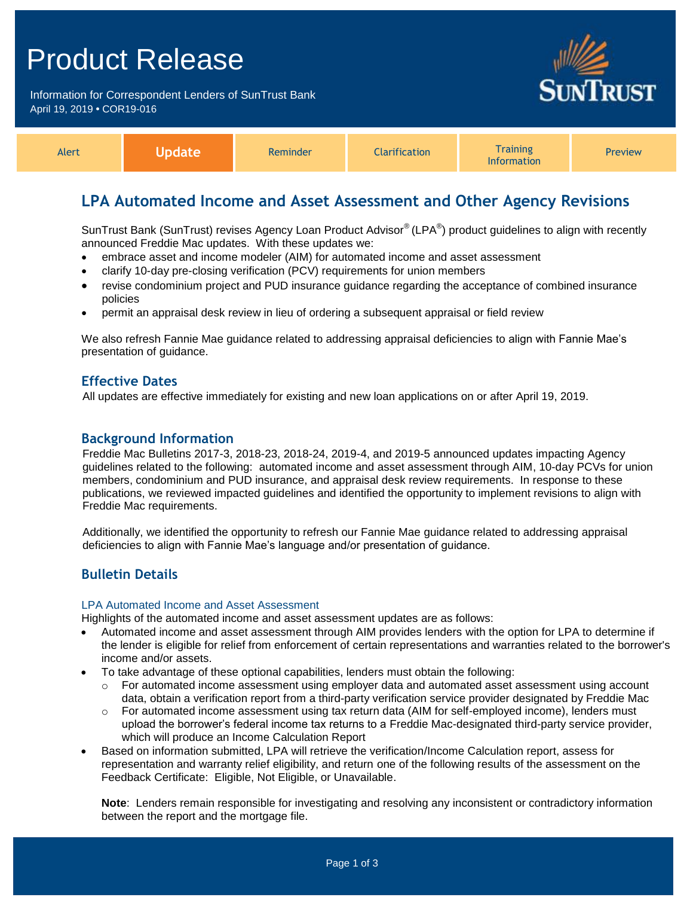## Product Release

Information for Correspondent Lenders of SunTrust Bank April 19, 2019 **•** COR19-016



| Alert |  | Reminder | <b>Narification</b> | <i>i</i> raining<br><b>Information</b> | Preview |
|-------|--|----------|---------------------|----------------------------------------|---------|
|-------|--|----------|---------------------|----------------------------------------|---------|

## **LPA Automated Income and Asset Assessment and Other Agency Revisions**

SunTrust Bank (SunTrust) revises Agency Loan Product Advisor® (LPA®) product guidelines to align with recently announced Freddie Mac updates. With these updates we:

- embrace asset and income modeler (AIM) for automated income and asset assessment
- clarify 10-day pre-closing verification (PCV) requirements for union members
- revise condominium project and PUD insurance guidance regarding the acceptance of combined insurance policies
- permit an appraisal desk review in lieu of ordering a subsequent appraisal or field review

We also refresh Fannie Mae guidance related to addressing appraisal deficiencies to align with Fannie Mae's presentation of guidance.

### **Effective Dates**

All updates are effective immediately for existing and new loan applications on or after April 19, 2019.

### **Background Information**

Freddie Mac Bulletins 2017-3, 2018-23, 2018-24, 2019-4, and 2019-5 announced updates impacting Agency guidelines related to the following: automated income and asset assessment through AIM, 10-day PCVs for union members, condominium and PUD insurance, and appraisal desk review requirements. In response to these publications, we reviewed impacted guidelines and identified the opportunity to implement revisions to align with Freddie Mac requirements.

Additionally, we identified the opportunity to refresh our Fannie Mae guidance related to addressing appraisal deficiencies to align with Fannie Mae's language and/or presentation of guidance.

## **Bulletin Details**

#### LPA Automated Income and Asset Assessment

Highlights of the automated income and asset assessment updates are as follows:

- Automated income and asset assessment through AIM provides lenders with the option for LPA to determine if the lender is eligible for relief from enforcement of certain representations and warranties related to the borrower's income and/or assets.
- To take advantage of these optional capabilities, lenders must obtain the following:
	- o For automated income assessment using employer data and automated asset assessment using account data, obtain a verification report from a third-party verification service provider designated by Freddie Mac
	- o For automated income assessment using tax return data (AIM for self-employed income), lenders must upload the borrower's federal income tax returns to a Freddie Mac-designated third-party service provider, which will produce an Income Calculation Report
- Based on information submitted, LPA will retrieve the verification/Income Calculation report, assess for representation and warranty relief eligibility, and return one of the following results of the assessment on the Feedback Certificate: Eligible, Not Eligible, or Unavailable.

**Note**: Lenders remain responsible for investigating and resolving any inconsistent or contradictory information between the report and the mortgage file.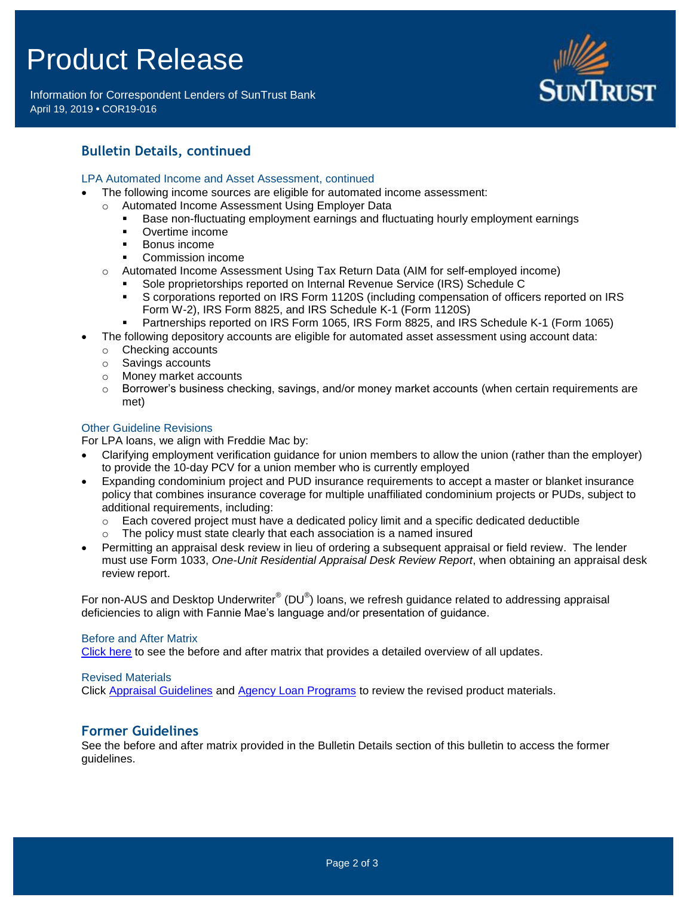# Product Release

Information for Correspondent Lenders of SunTrust Bank April 19, 2019 **•** COR19-016



## **Bulletin Details, continued**

#### LPA Automated Income and Asset Assessment, continued

- The following income sources are eligible for automated income assessment:
	- o Automated Income Assessment Using Employer Data
		- Base non-fluctuating employment earnings and fluctuating hourly employment earnings
		- Overtime income
		- **Bonus income**
		- Commission income
	- o Automated Income Assessment Using Tax Return Data (AIM for self-employed income)
		- Sole proprietorships reported on Internal Revenue Service (IRS) Schedule C
		- S corporations reported on IRS Form 1120S (including compensation of officers reported on IRS Form W-2), IRS Form 8825, and IRS Schedule K-1 (Form 1120S)
		- Partnerships reported on IRS Form 1065, IRS Form 8825, and IRS Schedule K-1 (Form 1065)
- The following depository accounts are eligible for automated asset assessment using account data:
	- o Checking accounts
	- o Savings accounts
	- o Money market accounts
	- $\circ$  Borrower's business checking, savings, and/or money market accounts (when certain requirements are met)

#### Other Guideline Revisions

For LPA loans, we align with Freddie Mac by:

- Clarifying employment verification guidance for union members to allow the union (rather than the employer) to provide the 10-day PCV for a union member who is currently employed
- Expanding condominium project and PUD insurance requirements to accept a master or blanket insurance policy that combines insurance coverage for multiple unaffiliated condominium projects or PUDs, subject to additional requirements, including:
	- $\circ$  Each covered project must have a dedicated policy limit and a specific dedicated deductible
	- o The policy must state clearly that each association is a named insured
- Permitting an appraisal desk review in lieu of ordering a subsequent appraisal or field review. The lender must use Form 1033, *One-Unit Residential Appraisal Desk Review Report*, when obtaining an appraisal desk review report.

For non-AUS and Desktop Underwriter® (DU®) loans, we refresh guidance related to addressing appraisal deficiencies to align with Fannie Mae's language and/or presentation of guidance.

#### Before and After Matrix

[Click here](http://www.truistsellerguide.com/manual/cor/products/Cr19-016BA.pdf) to see the before and after matrix that provides a detailed overview of all updates.

Revised Materials

Click [Appraisal Guidelines](https://www.truistsellerguide.com/Manual/cor/general/1.07Appraisals.pdf) and [Agency Loan Programs](https://www.truistsellerguide.com/manual/cor/products/CAgency.pdf) to review the revised product materials.

## **Former Guidelines**

See the before and after matrix provided in the Bulletin Details section of this bulletin to access the former guidelines.